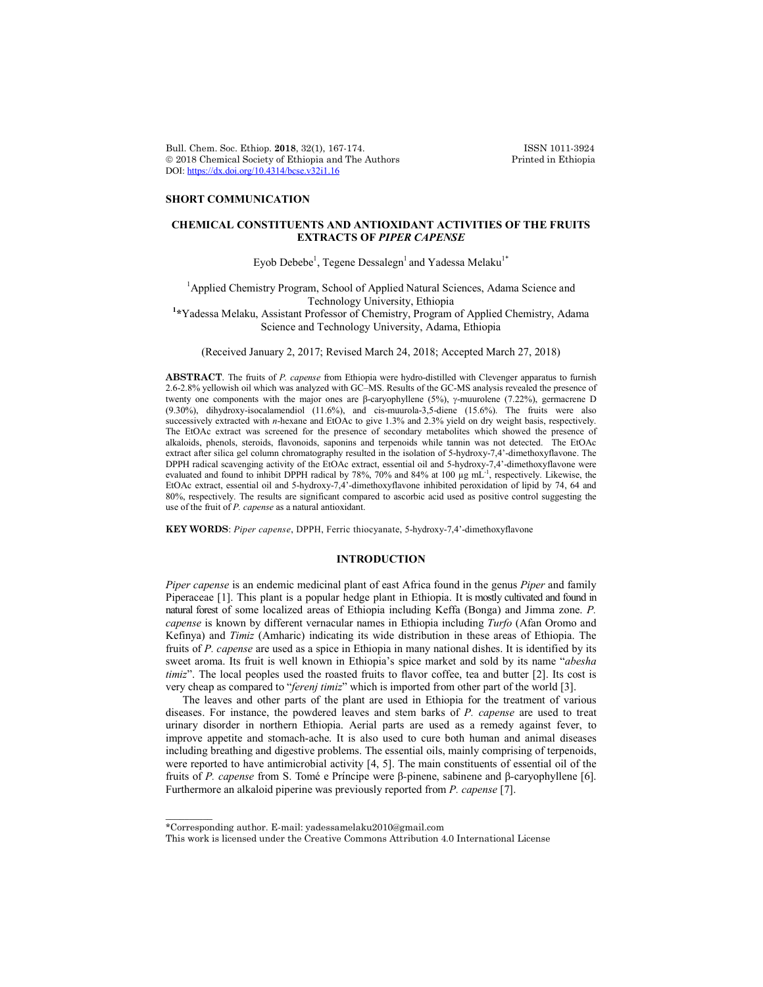Bull. Chem. Soc. Ethiop. 2018, 32(1), 167-174. **ISSN 1011-3924**<br>
© 2018 Chemical Society of Ethiopia and The Authors Printed in Ethiopia  $© 2018 Chemical Society of Ethiopia and The Authors$ DOI: https://dx.doi.org/10.4314/bcse.v32i1.16

## **SHORT COMMUNICATION**

# **CHEMICAL CONSTITUENTS AND ANTIOXIDANT ACTIVITIES OF THE FRUITS EXTRACTS OF** *PIPER CAPENSE*

Eyob Debebe $^{\text{l}}$ , Tegene Dessalegn $^{\text{l}}$  and Yadessa Melaku $^{\text{l}}{}^*$ 

<sup>1</sup> Applied Chemistry Program, School of Applied Natural Sciences, Adama Science and Technology University, Ethiopia **<sup>1</sup> \***Yadessa Melaku, Assistant Professor of Chemistry, Program of Applied Chemistry, Adama

Science and Technology University, Adama, Ethiopia

(Received January 2, 2017; Revised March 24, 2018; Accepted March 27, 2018)

**ABSTRACT**. The fruits of *P. capense* from Ethiopia were hydro-distilled with Clevenger apparatus to furnish 2.6-2.8% yellowish oil which was analyzed with GC–MS. Results of the GC-MS analysis revealed the presence of twenty one components with the major ones are β-caryophyllene (5%), γ-muurolene (7.22%), germacrene D (9.30%), dihydroxy-isocalamendiol (11.6%), and cis-muurola-3,5-diene (15.6%). The fruits were also successively extracted with *n*-hexane and EtOAc to give 1.3% and 2.3% yield on dry weight basis, respectively. The EtOAc extract was screened for the presence of secondary metabolites which showed the presence of alkaloids, phenols, steroids, flavonoids, saponins and terpenoids while tannin was not detected. The EtOAc extract after silica gel column chromatography resulted in the isolation of 5-hydroxy-7,4'-dimethoxyflavone. The DPPH radical scavenging activity of the EtOAc extract, essential oil and 5-hydroxy-7,4'-dimethoxyflavone were evaluated and found to inhibit DPPH radical by 78%, 70% and 84% at 100 µg mL<sup>-1</sup>, respectively. Likewise, the EtOAc extract, essential oil and 5-hydroxy-7,4'-dimethoxyflavone inhibited peroxidation of lipid by 74, 64 and 80%, respectively. The results are significant compared to ascorbic acid used as positive control suggesting the use of the fruit of *P. capense* as a natural antioxidant.

**KEY WORDS**: *Piper capense*, DPPH, Ferric thiocyanate, 5-hydroxy-7,4'-dimethoxyflavone

### **INTRODUCTION**

*Piper capense* is an endemic medicinal plant of east Africa found in the genus *Piper* and family Piperaceae [1]. This plant is a popular hedge plant in Ethiopia. It is mostly cultivated and found in natural forest of some localized areas of Ethiopia including Keffa (Bonga) and Jimma zone. *P. capense* is known by different vernacular names in Ethiopia including *Turfo* (Afan Oromo and Kefinya) and *Timiz* (Amharic) indicating its wide distribution in these areas of Ethiopia. The fruits of *P. capense* are used as a spice in Ethiopia in many national dishes. It is identified by its sweet aroma. Its fruit is well known in Ethiopia's spice market and sold by its name "*abesha timiz*". The local peoples used the roasted fruits to flavor coffee, tea and butter [2]. Its cost is very cheap as compared to "*ferenj timiz*" which is imported from other part of the world [3].

The leaves and other parts of the plant are used in Ethiopia for the treatment of various diseases. For instance, the powdered leaves and stem barks of *P. capense* are used to treat urinary disorder in northern Ethiopia. Aerial parts are used as a remedy against fever, to improve appetite and stomach-ache. It is also used to cure both human and animal diseases including breathing and digestive problems. The essential oils, mainly comprising of terpenoids, were reported to have antimicrobial activity [4, 5]. The main constituents of essential oil of the fruits of *P. capense* from S. Tomé e Prı́ ncipe were β*-*pinene, sabinene and β*-*caryophyllene [6]. Furthermore an alkaloid piperine was previously reported from *P. capense* [7].

 $\overline{\phantom{a}}$ 

<sup>\*</sup>Corresponding author. E-mail: yadessamelaku2010@gmail.com

This work is licensed under the Creative Commons Attribution 4.0 International License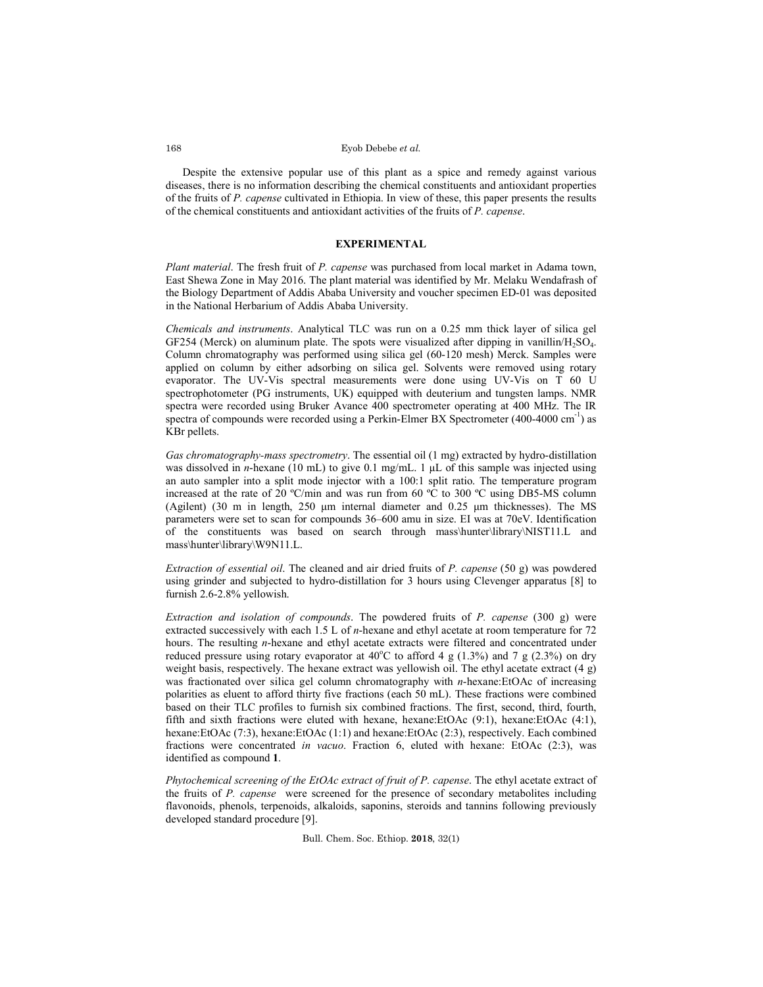### Eyob Debebe *et al.*

Despite the extensive popular use of this plant as a spice and remedy against various diseases, there is no information describing the chemical constituents and antioxidant properties of the fruits of *P. capense* cultivated in Ethiopia. In view of these, this paper presents the results of the chemical constituents and antioxidant activities of the fruits of *P. capense*.

### **EXPERIMENTAL**

*Plant material*. The fresh fruit of *P. capense* was purchased from local market in Adama town, East Shewa Zone in May 2016. The plant material was identified by Mr. Melaku Wendafrash of the Biology Department of Addis Ababa University and voucher specimen ED-01 was deposited in the National Herbarium of Addis Ababa University.

*Chemicals and instruments*. Analytical TLC was run on a 0.25 mm thick layer of silica gel GF254 (Merck) on aluminum plate. The spots were visualized after dipping in vanillin/ $H<sub>2</sub>SO<sub>4</sub>$ . Column chromatography was performed using silica gel (60-120 mesh) Merck. Samples were applied on column by either adsorbing on silica gel. Solvents were removed using rotary evaporator. The UV-Vis spectral measurements were done using UV-Vis on T 60 U spectrophotometer (PG instruments, UK) equipped with deuterium and tungsten lamps. NMR spectra were recorded using Bruker Avance 400 spectrometer operating at 400 MHz. The IR spectra of compounds were recorded using a Perkin-Elmer BX Spectrometer (400-4000 cm<sup>-1</sup>) as KBr pellets.

*Gas chromatography-mass spectrometry*. The essential oil (1 mg) extracted by hydro-distillation was dissolved in *n*-hexane (10 mL) to give 0.1 mg/mL. 1 μL of this sample was injected using an auto sampler into a split mode injector with a 100:1 split ratio. The temperature program increased at the rate of 20 ºC/min and was run from 60 ºC to 300 ºC using DB5-MS column (Agilent) (30 m in length, 250 μm internal diameter and 0.25 μm thicknesses). The MS parameters were set to scan for compounds 36–600 amu in size. EI was at 70eV. Identification of the constituents was based on search through mass\hunter\library\NIST11.L and mass\hunter\library\W9N11.L.

*Extraction of essential oil*. The cleaned and air dried fruits of *P. capense* (50 g) was powdered using grinder and subjected to hydro-distillation for 3 hours using Clevenger apparatus [8] to furnish 2.6-2.8% yellowish.

*Extraction and isolation of compounds*. The powdered fruits of *P. capense* (300 g) were extracted successively with each 1.5 L of *n*-hexane and ethyl acetate at room temperature for 72 hours. The resulting *n*-hexane and ethyl acetate extracts were filtered and concentrated under reduced pressure using rotary evaporator at  $40^{\circ}$ C to afford 4 g (1.3%) and 7 g (2.3%) on dry weight basis, respectively. The hexane extract was yellowish oil. The ethyl acetate extract  $(4 g)$ was fractionated over silica gel column chromatography with *n*-hexane:EtOAc of increasing polarities as eluent to afford thirty five fractions (each 50 mL). These fractions were combined based on their TLC profiles to furnish six combined fractions. The first, second, third, fourth, fifth and sixth fractions were eluted with hexane, hexane:EtOAc (9:1), hexane:EtOAc (4:1), hexane:EtOAc (7:3), hexane:EtOAc (1:1) and hexane:EtOAc (2:3), respectively. Each combined fractions were concentrated *in vacuo*. Fraction 6, eluted with hexane: EtOAc (2:3), was identified as compound **1**.

*Phytochemical screening of the EtOAc extract of fruit of P. capense*. The ethyl acetate extract of the fruits of *P. capense* were screened for the presence of secondary metabolites including flavonoids, phenols, terpenoids, alkaloids, saponins, steroids and tannins following previously developed standard procedure [9].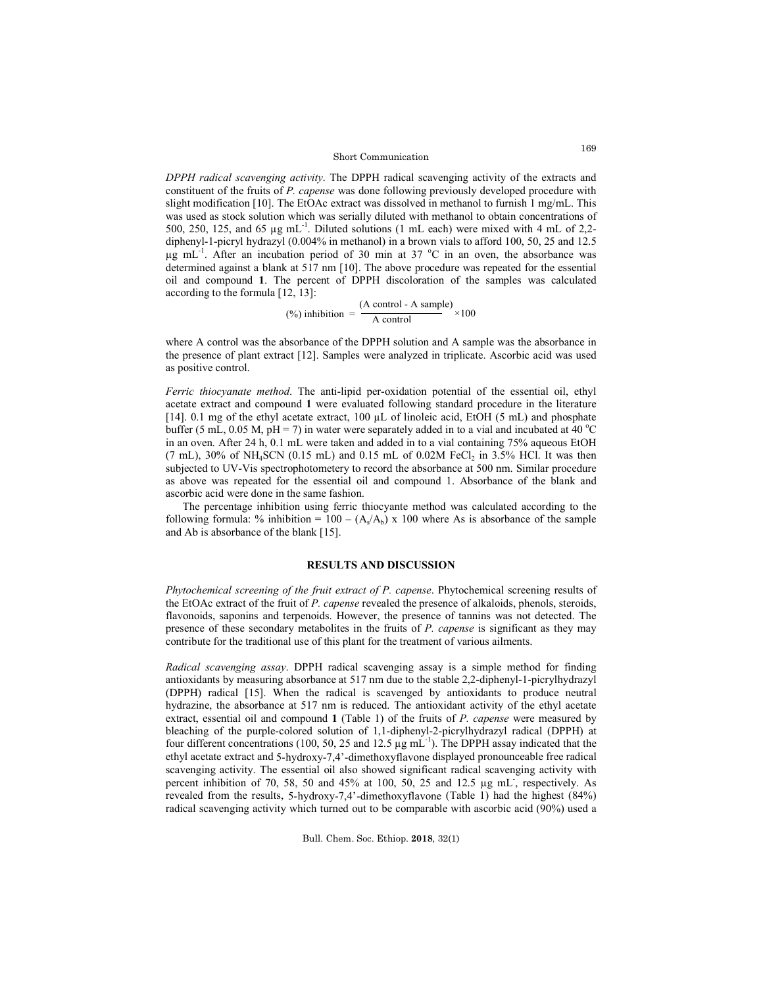### Short Communication

*DPPH radical scavenging activity*. The DPPH radical scavenging activity of the extracts and constituent of the fruits of *P. capense* was done following previously developed procedure with slight modification [10]. The EtOAc extract was dissolved in methanol to furnish 1 mg/mL. This was used as stock solution which was serially diluted with methanol to obtain concentrations of 500, 250, 125, and 65  $\mu$ g mL<sup>-1</sup>. Diluted solutions (1 mL each) were mixed with 4 mL of 2,2diphenyl-1-picryl hydrazyl (0.004% in methanol) in a brown vials to afford 100, 50, 25 and 12.5  $\mu$ g mL<sup>-1</sup>. After an incubation period of 30 min at 37 °C in an oven, the absorbance was determined against a blank at 517 nm [10]. The above procedure was repeated for the essential oil and compound **1**. The percent of DPPH discoloration of the samples was calculated according to the formula [12, 13]:

$$
\text{(%) inhibition} = \frac{\text{(A control - A sample)}}{\text{A control}} \times 100
$$

where A control was the absorbance of the DPPH solution and A sample was the absorbance in the presence of plant extract [12]. Samples were analyzed in triplicate. Ascorbic acid was used as positive control.

*Ferric thiocyanate method*. The anti-lipid per-oxidation potential of the essential oil, ethyl acetate extract and compound **1** were evaluated following standard procedure in the literature [14]. 0.1 mg of the ethyl acetate extract, 100  $\mu$ L of linoleic acid, EtOH (5 mL) and phosphate buffer (5 mL, 0.05 M, pH = 7) in water were separately added in to a vial and incubated at 40 °C in an oven. After 24 h, 0.1 mL were taken and added in to a vial containing 75% aqueous EtOH  $(7 \text{ mL})$ ,  $30\%$  of NH<sub>4</sub>SCN  $(0.15 \text{ mL})$  and  $0.15 \text{ mL}$  of  $0.02M$  FeCl<sub>2</sub> in  $3.5\%$  HCl. It was then subjected to UV-Vis spectrophotometery to record the absorbance at 500 nm. Similar procedure as above was repeated for the essential oil and compound 1. Absorbance of the blank and ascorbic acid were done in the same fashion.

The percentage inhibition using ferric thiocyante method was calculated according to the following formula: % inhibition =  $100 - (A_x/A_b) \times 100$  where As is absorbance of the sample and Ab is absorbance of the blank [15].

# **RESULTS AND DISCUSSION**

*Phytochemical screening of the fruit extract of P. capense*. Phytochemical screening results of the EtOAc extract of the fruit of *P. capense* revealed the presence of alkaloids, phenols, steroids, flavonoids, saponins and terpenoids. However, the presence of tannins was not detected. The presence of these secondary metabolites in the fruits of *P. capense* is significant as they may contribute for the traditional use of this plant for the treatment of various ailments.

*Radical scavenging assay*. DPPH radical scavenging assay is a simple method for finding antioxidants by measuring absorbance at 517 nm due to the stable 2,2-diphenyl-1-picrylhydrazyl (DPPH) radical [15]. When the radical is scavenged by antioxidants to produce neutral hydrazine, the absorbance at 517 nm is reduced. The antioxidant activity of the ethyl acetate extract, essential oil and compound **1** (Table 1) of the fruits of *P. capense* were measured by bleaching of the purple-colored solution of 1,1-diphenyl-2-picrylhydrazyl radical (DPPH) at four different concentrations (100, 50, 25 and 12.5 µg mL-1 ). The DPPH assay indicated that the ethyl acetate extract and 5-hydroxy-7,4'-dimethoxyflavone displayed pronounceable free radical scavenging activity. The essential oil also showed significant radical scavenging activity with percent inhibition of 70, 58, 50 and 45% at 100, 50, 25 and 12.5 µg mL- , respectively. As revealed from the results, 5-hydroxy-7,4'-dimethoxyflavone (Table 1) had the highest (84%) radical scavenging activity which turned out to be comparable with ascorbic acid (90%) used a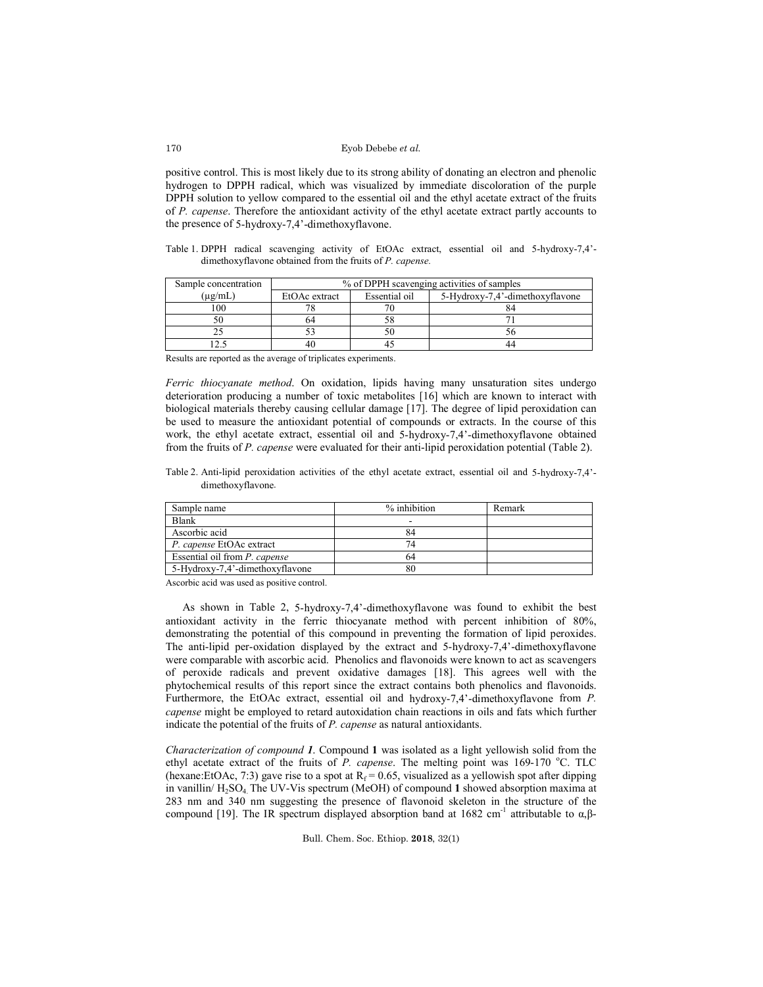### Eyob Debebe *et al.*

positive control. This is most likely due to its strong ability of donating an electron and phenolic hydrogen to DPPH radical, which was visualized by immediate discoloration of the purple DPPH solution to yellow compared to the essential oil and the ethyl acetate extract of the fruits of *P. capense*. Therefore the antioxidant activity of the ethyl acetate extract partly accounts to the presence of 5-hydroxy-7,4'-dimethoxyflavone.

Table 1. DPPH radical scavenging activity of EtOAc extract, essential oil and 5-hydroxy-7,4' dimethoxyflavone obtained from the fruits of *P. capense.*

| Sample concentration | % of DPPH scavenging activities of samples |               |                                 |  |
|----------------------|--------------------------------------------|---------------|---------------------------------|--|
| $(\mu$ g/mL)         | EtOAc extract                              | Essential oil | 5-Hydroxy-7,4'-dimethoxyflavone |  |
| 100                  |                                            |               |                                 |  |
|                      |                                            |               |                                 |  |
|                      |                                            |               |                                 |  |
|                      |                                            |               | 44                              |  |

Results are reported as the average of triplicates experiments.

*Ferric thiocyanate method*. On oxidation, lipids having many unsaturation sites undergo deterioration producing a number of toxic metabolites [16] which are known to interact with biological materials thereby causing cellular damage [17]. The degree of lipid peroxidation can be used to measure the antioxidant potential of compounds or extracts. In the course of this work, the ethyl acetate extract, essential oil and 5-hydroxy-7,4'-dimethoxyflavone obtained from the fruits of *P. capense* were evaluated for their anti-lipid peroxidation potential (Table 2).

Table 2. Anti-lipid peroxidation activities of the ethyl acetate extract, essential oil and 5-hydroxy-7,4' dimethoxyflavone.

| Sample name                     | % inhibition | Remark |
|---------------------------------|--------------|--------|
| <b>Blank</b>                    |              |        |
| Ascorbic acid                   |              |        |
| P. capense EtOAc extract        |              |        |
| Essential oil from P. capense   |              |        |
| 5-Hydroxy-7.4'-dimethoxyflavone | 80           |        |

Ascorbic acid was used as positive control.

As shown in Table 2, 5-hydroxy-7,4'-dimethoxyflavone was found to exhibit the best antioxidant activity in the ferric thiocyanate method with percent inhibition of 80%, demonstrating the potential of this compound in preventing the formation of lipid peroxides. The anti-lipid per-oxidation displayed by the extract and 5-hydroxy-7,4'-dimethoxyflavone were comparable with ascorbic acid. Phenolics and flavonoids were known to act as scavengers of peroxide radicals and prevent oxidative damages [18]. This agrees well with the phytochemical results of this report since the extract contains both phenolics and flavonoids. Furthermore, the EtOAc extract, essential oil and hydroxy-7,4'-dimethoxyflavone from *P. capense* might be employed to retard autoxidation chain reactions in oils and fats which further indicate the potential of the fruits of *P. capense* as natural antioxidants.

*Characterization of compound 1*. Compound **1** was isolated as a light yellowish solid from the ethyl acetate extract of the fruits of  $P$ . capense. The melting point was 169-170 °C. TLC (hexane:EtOAc, 7:3) gave rise to a spot at  $R_f = 0.65$ , visualized as a yellowish spot after dipping in vanillin/ H2SO4. The UV-Vis spectrum (MeOH) of compound **1** showed absorption maxima at 283 nm and 340 nm suggesting the presence of flavonoid skeleton in the structure of the compound [19]. The IR spectrum displayed absorption band at 1682 cm<sup>-1</sup> attributable to α,β-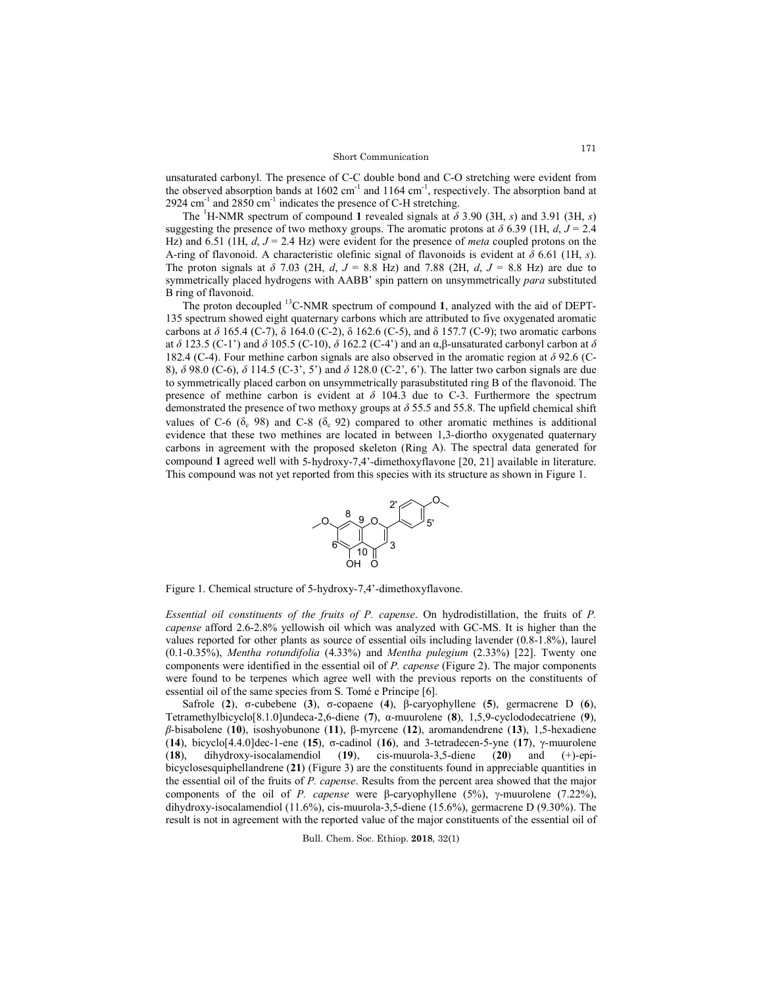unsaturated carbonyl. The presence of C-C double bond and C-O stretching were evident from the observed absorption bands at  $1602 \text{ cm}^{-1}$  and  $1164 \text{ cm}^{-1}$ , respectively. The absorption band at 2924 cm $^{-1}$  and 2850 cm $^{-1}$  indicates the presence of C-H stretching.

The <sup>1</sup>H-NMR spectrum of compound 1 revealed signals at  $\delta$  3.90 (3H, *s*) and 3.91 (3H, *s*) suggesting the presence of two methoxy groups. The aromatic protons at  $\delta$  6.39 (1H, *d*, *J* = 2.4 Hz) and 6.51 (1H, *d*, *J* = 2.4 Hz) were evident for the presence of *meta* coupled protons on the A-ring of flavonoid. A characteristic olefinic signal of flavonoids is evident at *δ* 6.61 (1H, *s*). The proton signals at *δ* 7.03 (2H, *d*, *J* = 8.8 Hz) and 7.88 (2H, *d*, *J* = 8.8 Hz) are due to symmetrically placed hydrogens with AABB' spin pattern on unsymmetrically *para* substituted B ring of flavonoid.

The proton decoupled 13C-NMR spectrum of compound **1**, analyzed with the aid of DEPT-135 spectrum showed eight quaternary carbons which are attributed to five oxygenated aromatic carbons at  $\delta$  165.4 (C-7),  $\delta$  164.0 (C-2),  $\delta$  162.6 (C-5), and  $\delta$  157.7 (C-9); two aromatic carbons at *δ* 123.5 (C-1') and *δ* 105.5 (C-10), *δ* 162.2 (C-4') and an α,β-unsaturated carbonyl carbon at *δ*  182.4 (C-4). Four methine carbon signals are also observed in the aromatic region at *δ* 92.6 (C-8), *δ* 98.0 (C-6), *δ* 114.5 (C-3', 5') and *δ* 128.0 (C-2', 6'). The latter two carbon signals are due to symmetrically placed carbon on unsymmetrically parasubstituted ring B of the flavonoid. The presence of methine carbon is evident at  $\delta$  104.3 due to C-3. Furthermore the spectrum demonstrated the presence of two methoxy groups at *δ* 55.5 and 55.8. The upfield chemical shift values of C-6 ( $\delta_c$  98) and C-8 ( $\delta_c$  92) compared to other aromatic methines is additional evidence that these two methines are located in between 1,3-diortho oxygenated quaternary carbons in agreement with the proposed skeleton (Ring A). The spectral data generated for compound **1** agreed well with 5-hydroxy-7,4'-dimethoxyflavone [20, 21] available in literature. This compound was not yet reported from this species with its structure as shown in Figure 1.



Figure 1. Chemical structure of 5-hydroxy-7,4'-dimethoxyflavone.

*Essential oil constituents of the fruits of P. capense*. On hydrodistillation, the fruits of *P. capense* afford 2.6-2.8% yellowish oil which was analyzed with GC-MS. It is higher than the values reported for other plants as source of essential oils including lavender (0.8-1.8%), laurel (0.1-0.35%), *Mentha rotundifolia* (4.33%) and *Mentha pulegium* (2.33%) [22]. Twenty one components were identified in the essential oil of *P. capense* (Figure 2). The major components were found to be terpenes which agree well with the previous reports on the constituents of essential oil of the same species from S. Tomé e Príncipe [6].

Safrole (**2**), σ-cubebene (**3**), σ-copaene (**4**), β-caryophyllene (**5**), germacrene D (**6**), Tetramethylbicyclo[8.1.0]undeca-2,6-diene (**7**), α-muurolene (**8**), 1,5,9-cyclododecatriene (**9**), *β*-bisabolene (**10**), isoshyobunone (**11**), β-myrcene (**12**), aromandendrene (**13**), 1,5-hexadiene (**14**), bicyclo[4.4.0]dec-1-ene (**15**), σ-cadinol (**16**), and 3-tetradecen-5-yne (**17**), γ-muurolene (**18**), dihydroxy-isocalamendiol (**19**), cis-muurola-3,5-diene (**20**) and (+)-epibicyclosesquiphellandrene (**21**) (Figure 3) are the constituents found in appreciable quantities in the essential oil of the fruits of *P. capense*. Results from the percent area showed that the major components of the oil of *P. capense* were β-caryophyllene (5%), γ-muurolene (7.22%), dihydroxy-isocalamendiol (11.6%), cis-muurola-3,5-diene (15.6%), germacrene D (9.30%). The result is not in agreement with the reported value of the major constituents of the essential oil of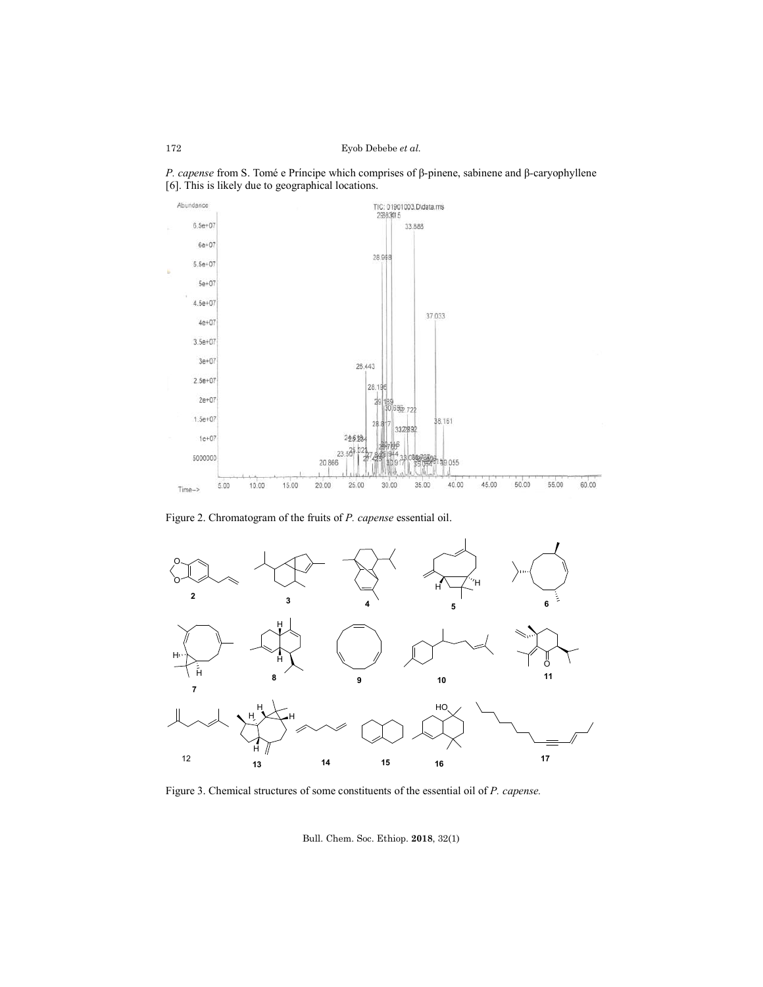



Figure 2. Chromatogram of the fruits of *P. capense* essential oil.



Figure 3. Chemical structures of some constituents of the essential oil of *P. capense.*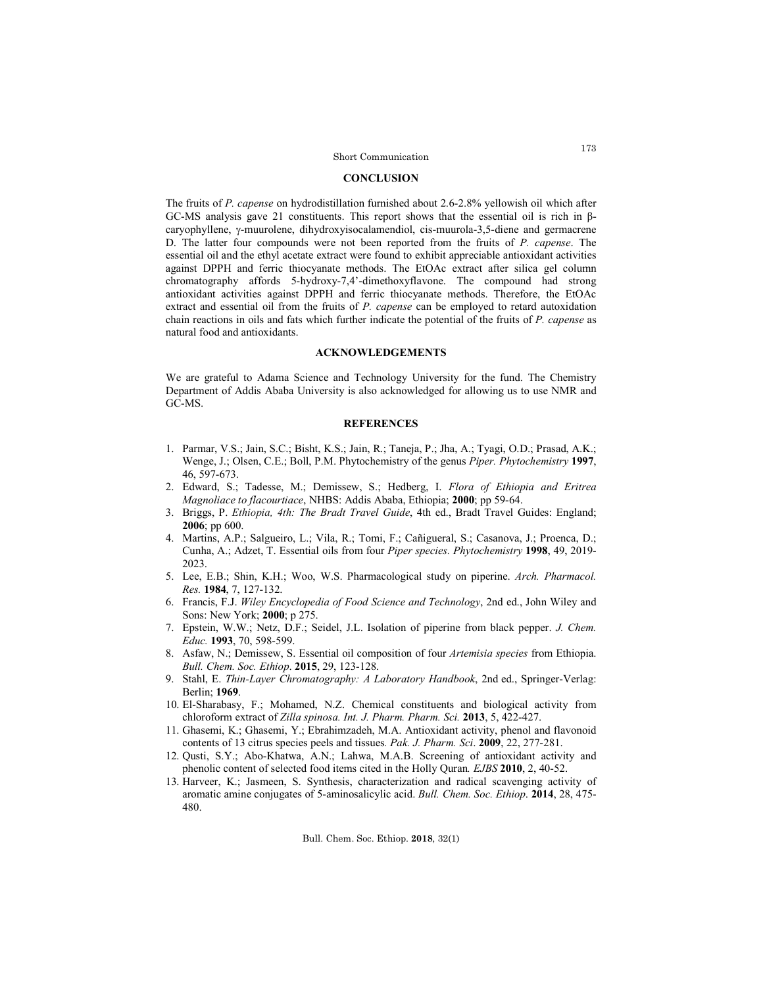### **CONCLUSION**

The fruits of *P. capense* on hydrodistillation furnished about 2.6-2.8% yellowish oil which after GC-MS analysis gave 21 constituents. This report shows that the essential oil is rich in β $caryophyllene, \gamma-muurolene, dihydroxy} isocalamendiol, cis-muurola-3,5-diene and germacrene$ D. The latter four compounds were not been reported from the fruits of *P. capense*. The essential oil and the ethyl acetate extract were found to exhibit appreciable antioxidant activities against DPPH and ferric thiocyanate methods. The EtOAc extract after silica gel column chromatography affords 5-hydroxy-7,4'-dimethoxyflavone. The compound had strong antioxidant activities against DPPH and ferric thiocyanate methods. Therefore, the EtOAc extract and essential oil from the fruits of *P. capense* can be employed to retard autoxidation chain reactions in oils and fats which further indicate the potential of the fruits of *P. capense* as natural food and antioxidants.

### **ACKNOWLEDGEMENTS**

We are grateful to Adama Science and Technology University for the fund. The Chemistry Department of Addis Ababa University is also acknowledged for allowing us to use NMR and GC-MS.

## **REFERENCES**

- 1. Parmar, V.S.; Jain, S.C.; Bisht, K.S.; Jain, R.; Taneja, P.; Jha, A.; Tyagi, O.D.; Prasad, A.K.; Wenge, J.; Olsen, C.E.; Boll, P.M. Phytochemistry of the genus *Piper. Phytochemistry* **1997**, 46, 597-673.
- 2. Edward, S.; Tadesse, M.; Demissew, S.; Hedberg, I. *Flora of Ethiopia and Eritrea Magnoliace to flacourtiace*, NHBS: Addis Ababa, Ethiopia; **2000**; pp 59-64.
- 3. Briggs, P. *Ethiopia, 4th: The Bradt Travel Guide*, 4th ed., Bradt Travel Guides: England; **2006**; pp 600.
- 4. Martins, A.P.; Salgueiro, L.; Vila, R.; Tomi, F.; Cañigueral, S.; Casanova, J.; Proenca, D.; Cunha, A.; Adzet, T. Essential oils from four *Piper species. Phytochemistry* **1998**, 49, 2019- 2023.
- 5. Lee, E.B.; Shin, K.H.; Woo, W.S. Pharmacological study on piperine. *Arch. Pharmacol. Res.* **1984**, 7, 127-132.
- 6. Francis, F.J. *Wiley Encyclopedia of Food Science and Technology*, 2nd ed., John Wiley and Sons: New York; **2000**; p 275.
- 7. Epstein, W.W.; Netz, D.F.; Seidel, J.L. Isolation of piperine from black pepper. *J. Chem. Educ.* **1993**, 70, 598-599.
- 8. Asfaw, N.; Demissew, S. Essential oil composition of four *Artemisia species* from Ethiopia. *Bull. Chem. Soc. Ethiop*. **2015**, 29, 123-128.
- 9. Stahl, E. *Thin-Layer Chromatography: A Laboratory Handbook*, 2nd ed., Springer-Verlag: Berlin; **1969**.
- 10. El-Sharabasy, F.; Mohamed, N.Z. Chemical constituents and biological activity from chloroform extract of *Zilla spinosa. Int. J. Pharm. Pharm. Sci.* **2013**, 5, 422-427.
- 11. Ghasemi, K.; Ghasemi, Y.; Ebrahimzadeh, M.A. Antioxidant activity, phenol and flavonoid contents of 13 citrus species peels and tissues*. Pak. J. Pharm. Sci*. **2009**, 22, 277-281.
- 12. Qusti, S.Y.; Abo-Khatwa, A.N.; Lahwa, M.A.B. Screening of antioxidant activity and phenolic content of selected food items cited in the Holly Quran*. EJBS* **2010**, 2, 40-52.
- 13. Harveer, K.; Jasmeen, S. Synthesis, characterization and radical scavenging activity of aromatic amine conjugates of 5-aminosalicylic acid. *Bull. Chem. Soc. Ethiop*. **2014**, 28, 475- 480.